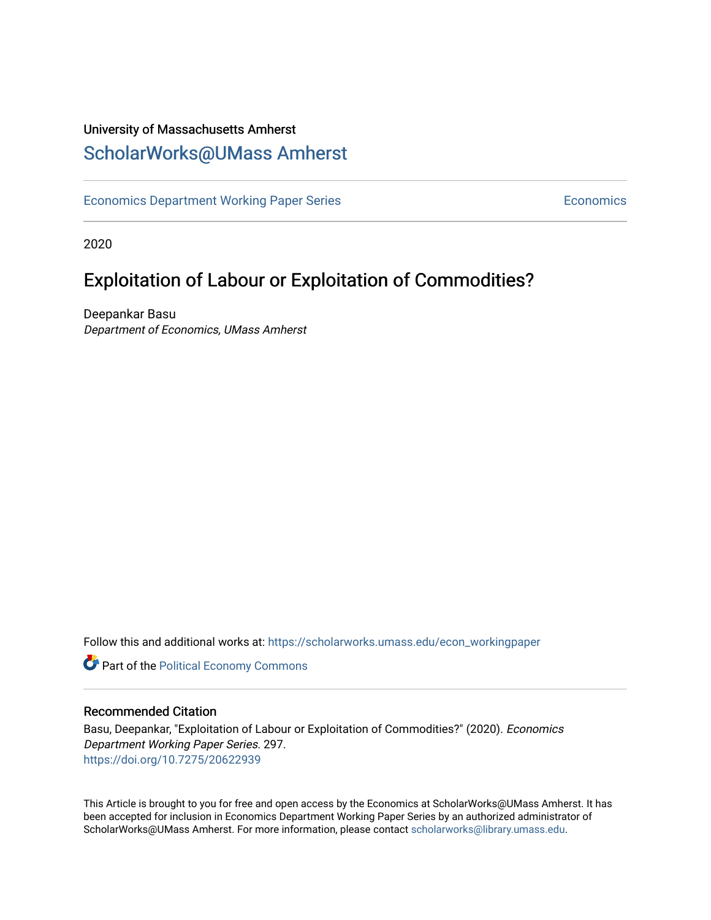## University of Massachusetts Amherst [ScholarWorks@UMass Amherst](https://scholarworks.umass.edu/)

[Economics Department Working Paper Series](https://scholarworks.umass.edu/econ_workingpaper) **Economics** Economics

2020

## Exploitation of Labour or Exploitation of Commodities?

Deepankar Basu Department of Economics, UMass Amherst

Follow this and additional works at: [https://scholarworks.umass.edu/econ\\_workingpaper](https://scholarworks.umass.edu/econ_workingpaper?utm_source=scholarworks.umass.edu%2Fecon_workingpaper%2F297&utm_medium=PDF&utm_campaign=PDFCoverPages) 

**Part of the [Political Economy Commons](http://network.bepress.com/hgg/discipline/352?utm_source=scholarworks.umass.edu%2Fecon_workingpaper%2F297&utm_medium=PDF&utm_campaign=PDFCoverPages)** 

#### Recommended Citation

Basu, Deepankar, "Exploitation of Labour or Exploitation of Commodities?" (2020). Economics Department Working Paper Series. 297. <https://doi.org/10.7275/20622939>

This Article is brought to you for free and open access by the Economics at ScholarWorks@UMass Amherst. It has been accepted for inclusion in Economics Department Working Paper Series by an authorized administrator of ScholarWorks@UMass Amherst. For more information, please contact [scholarworks@library.umass.edu.](mailto:scholarworks@library.umass.edu)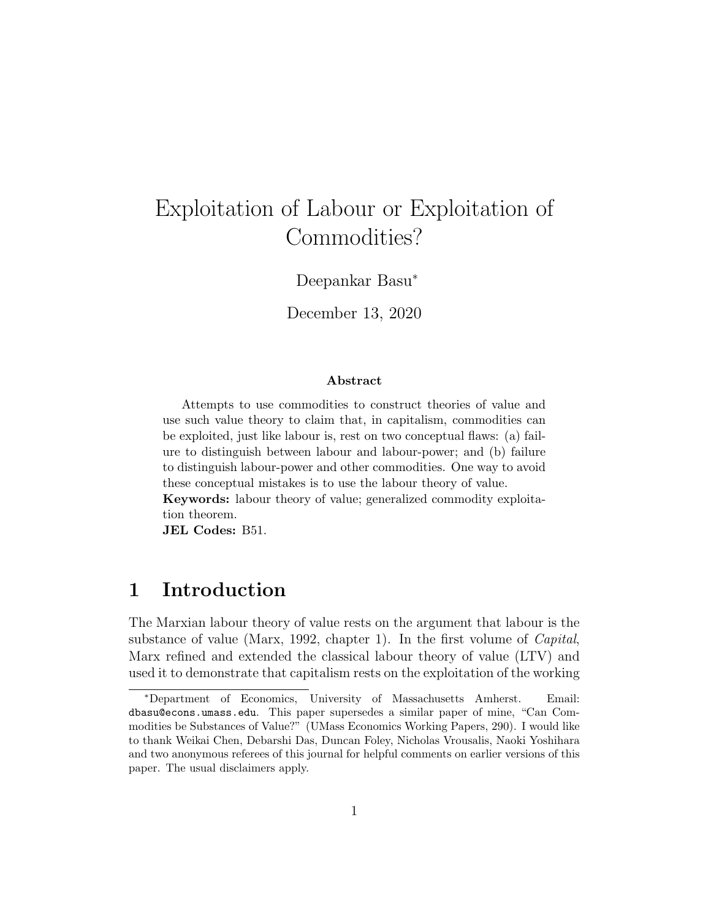# Exploitation of Labour or Exploitation of Commodities?

Deepankar Basu<sup>∗</sup>

December 13, 2020

#### Abstract

Attempts to use commodities to construct theories of value and use such value theory to claim that, in capitalism, commodities can be exploited, just like labour is, rest on two conceptual flaws: (a) failure to distinguish between labour and labour-power; and (b) failure to distinguish labour-power and other commodities. One way to avoid these conceptual mistakes is to use the labour theory of value.

Keywords: labour theory of value; generalized commodity exploitation theorem.

JEL Codes: B51.

## 1 Introduction

The Marxian labour theory of value rests on the argument that labour is the substance of value (Marx, 1992, chapter 1). In the first volume of *Capital*, Marx refined and extended the classical labour theory of value (LTV) and used it to demonstrate that capitalism rests on the exploitation of the working

<sup>∗</sup>Department of Economics, University of Massachusetts Amherst. Email: dbasu@econs.umass.edu. This paper supersedes a similar paper of mine, "Can Commodities be Substances of Value?" (UMass Economics Working Papers, 290). I would like to thank Weikai Chen, Debarshi Das, Duncan Foley, Nicholas Vrousalis, Naoki Yoshihara and two anonymous referees of this journal for helpful comments on earlier versions of this paper. The usual disclaimers apply.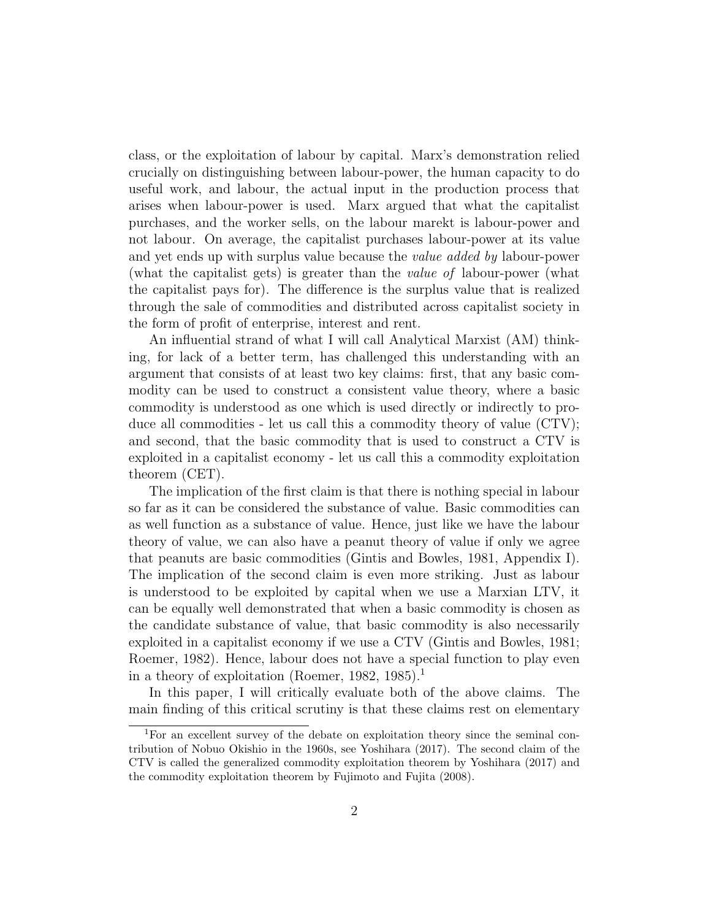class, or the exploitation of labour by capital. Marx's demonstration relied crucially on distinguishing between labour-power, the human capacity to do useful work, and labour, the actual input in the production process that arises when labour-power is used. Marx argued that what the capitalist purchases, and the worker sells, on the labour marekt is labour-power and not labour. On average, the capitalist purchases labour-power at its value and yet ends up with surplus value because the *value added by* labour-power (what the capitalist gets) is greater than the value of labour-power (what the capitalist pays for). The difference is the surplus value that is realized through the sale of commodities and distributed across capitalist society in the form of profit of enterprise, interest and rent.

An influential strand of what I will call Analytical Marxist (AM) thinking, for lack of a better term, has challenged this understanding with an argument that consists of at least two key claims: first, that any basic commodity can be used to construct a consistent value theory, where a basic commodity is understood as one which is used directly or indirectly to produce all commodities - let us call this a commodity theory of value (CTV); and second, that the basic commodity that is used to construct a CTV is exploited in a capitalist economy - let us call this a commodity exploitation theorem (CET).

The implication of the first claim is that there is nothing special in labour so far as it can be considered the substance of value. Basic commodities can as well function as a substance of value. Hence, just like we have the labour theory of value, we can also have a peanut theory of value if only we agree that peanuts are basic commodities (Gintis and Bowles, 1981, Appendix I). The implication of the second claim is even more striking. Just as labour is understood to be exploited by capital when we use a Marxian LTV, it can be equally well demonstrated that when a basic commodity is chosen as the candidate substance of value, that basic commodity is also necessarily exploited in a capitalist economy if we use a CTV (Gintis and Bowles, 1981; Roemer, 1982). Hence, labour does not have a special function to play even in a theory of exploitation (Roemer, 1982, 1985).<sup>1</sup>

In this paper, I will critically evaluate both of the above claims. The main finding of this critical scrutiny is that these claims rest on elementary

<sup>&</sup>lt;sup>1</sup>For an excellent survey of the debate on exploitation theory since the seminal contribution of Nobuo Okishio in the 1960s, see Yoshihara (2017). The second claim of the CTV is called the generalized commodity exploitation theorem by Yoshihara (2017) and the commodity exploitation theorem by Fujimoto and Fujita (2008).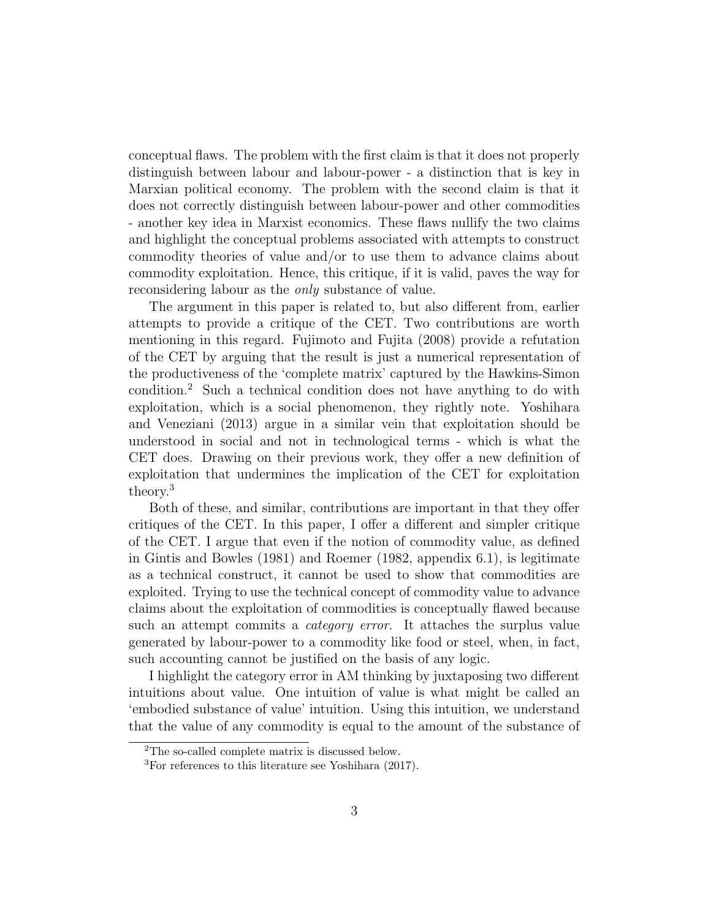conceptual flaws. The problem with the first claim is that it does not properly distinguish between labour and labour-power - a distinction that is key in Marxian political economy. The problem with the second claim is that it does not correctly distinguish between labour-power and other commodities - another key idea in Marxist economics. These flaws nullify the two claims and highlight the conceptual problems associated with attempts to construct commodity theories of value and/or to use them to advance claims about commodity exploitation. Hence, this critique, if it is valid, paves the way for reconsidering labour as the only substance of value.

The argument in this paper is related to, but also different from, earlier attempts to provide a critique of the CET. Two contributions are worth mentioning in this regard. Fujimoto and Fujita (2008) provide a refutation of the CET by arguing that the result is just a numerical representation of the productiveness of the 'complete matrix' captured by the Hawkins-Simon condition.<sup>2</sup> Such a technical condition does not have anything to do with exploitation, which is a social phenomenon, they rightly note. Yoshihara and Veneziani (2013) argue in a similar vein that exploitation should be understood in social and not in technological terms - which is what the CET does. Drawing on their previous work, they offer a new definition of exploitation that undermines the implication of the CET for exploitation theory.<sup>3</sup>

Both of these, and similar, contributions are important in that they offer critiques of the CET. In this paper, I offer a different and simpler critique of the CET. I argue that even if the notion of commodity value, as defined in Gintis and Bowles (1981) and Roemer (1982, appendix 6.1), is legitimate as a technical construct, it cannot be used to show that commodities are exploited. Trying to use the technical concept of commodity value to advance claims about the exploitation of commodities is conceptually flawed because such an attempt commits a *category error*. It attaches the surplus value generated by labour-power to a commodity like food or steel, when, in fact, such accounting cannot be justified on the basis of any logic.

I highlight the category error in AM thinking by juxtaposing two different intuitions about value. One intuition of value is what might be called an 'embodied substance of value' intuition. Using this intuition, we understand that the value of any commodity is equal to the amount of the substance of

<sup>2</sup>The so-called complete matrix is discussed below.

<sup>3</sup>For references to this literature see Yoshihara (2017).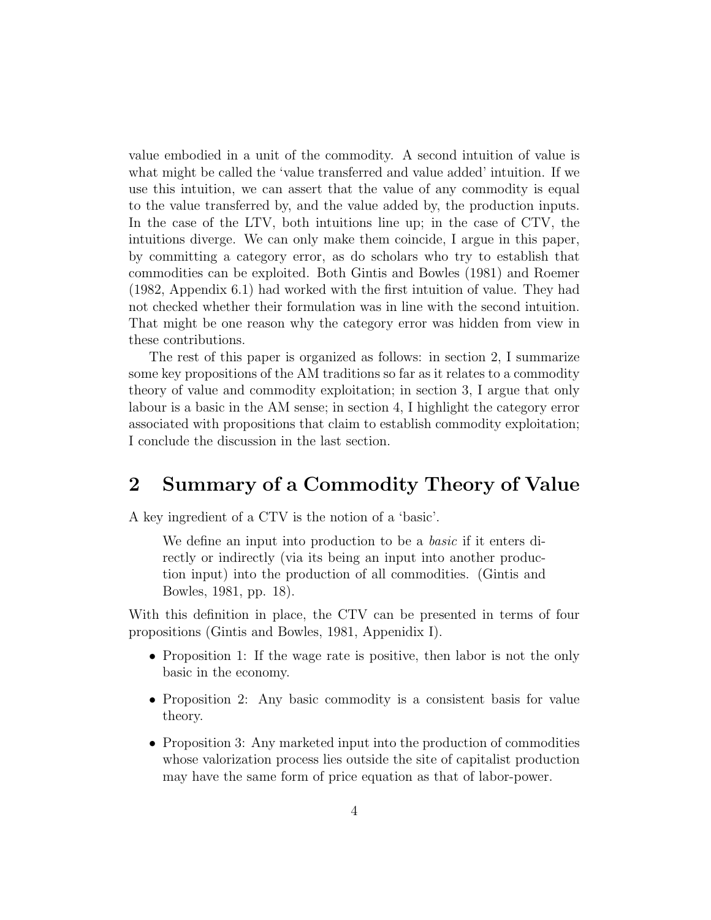value embodied in a unit of the commodity. A second intuition of value is what might be called the 'value transferred and value added' intuition. If we use this intuition, we can assert that the value of any commodity is equal to the value transferred by, and the value added by, the production inputs. In the case of the LTV, both intuitions line up; in the case of CTV, the intuitions diverge. We can only make them coincide, I argue in this paper, by committing a category error, as do scholars who try to establish that commodities can be exploited. Both Gintis and Bowles (1981) and Roemer (1982, Appendix 6.1) had worked with the first intuition of value. They had not checked whether their formulation was in line with the second intuition. That might be one reason why the category error was hidden from view in these contributions.

The rest of this paper is organized as follows: in section 2, I summarize some key propositions of the AM traditions so far as it relates to a commodity theory of value and commodity exploitation; in section 3, I argue that only labour is a basic in the AM sense; in section 4, I highlight the category error associated with propositions that claim to establish commodity exploitation; I conclude the discussion in the last section.

## 2 Summary of a Commodity Theory of Value

A key ingredient of a CTV is the notion of a 'basic'.

We define an input into production to be a *basic* if it enters directly or indirectly (via its being an input into another production input) into the production of all commodities. (Gintis and Bowles, 1981, pp. 18).

With this definition in place, the CTV can be presented in terms of four propositions (Gintis and Bowles, 1981, Appenidix I).

- Proposition 1: If the wage rate is positive, then labor is not the only basic in the economy.
- Proposition 2: Any basic commodity is a consistent basis for value theory.
- Proposition 3: Any marketed input into the production of commodities whose valorization process lies outside the site of capitalist production may have the same form of price equation as that of labor-power.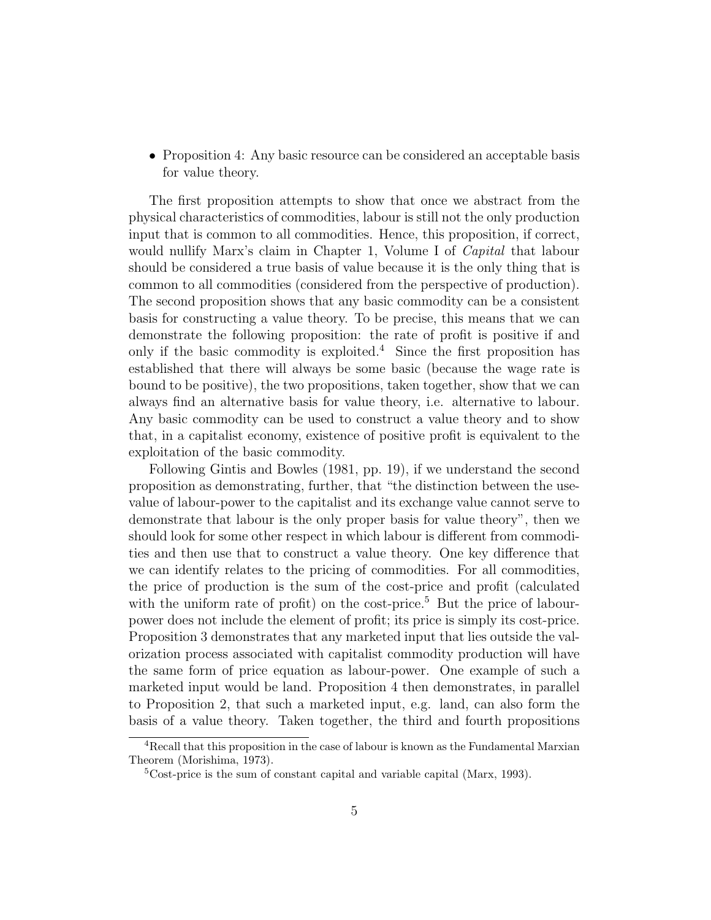• Proposition 4: Any basic resource can be considered an acceptable basis for value theory.

The first proposition attempts to show that once we abstract from the physical characteristics of commodities, labour is still not the only production input that is common to all commodities. Hence, this proposition, if correct, would nullify Marx's claim in Chapter 1, Volume I of *Capital* that labour should be considered a true basis of value because it is the only thing that is common to all commodities (considered from the perspective of production). The second proposition shows that any basic commodity can be a consistent basis for constructing a value theory. To be precise, this means that we can demonstrate the following proposition: the rate of profit is positive if and only if the basic commodity is exploited.<sup>4</sup> Since the first proposition has established that there will always be some basic (because the wage rate is bound to be positive), the two propositions, taken together, show that we can always find an alternative basis for value theory, i.e. alternative to labour. Any basic commodity can be used to construct a value theory and to show that, in a capitalist economy, existence of positive profit is equivalent to the exploitation of the basic commodity.

Following Gintis and Bowles (1981, pp. 19), if we understand the second proposition as demonstrating, further, that "the distinction between the usevalue of labour-power to the capitalist and its exchange value cannot serve to demonstrate that labour is the only proper basis for value theory", then we should look for some other respect in which labour is different from commodities and then use that to construct a value theory. One key difference that we can identify relates to the pricing of commodities. For all commodities, the price of production is the sum of the cost-price and profit (calculated with the uniform rate of profit) on the cost-price.<sup>5</sup> But the price of labourpower does not include the element of profit; its price is simply its cost-price. Proposition 3 demonstrates that any marketed input that lies outside the valorization process associated with capitalist commodity production will have the same form of price equation as labour-power. One example of such a marketed input would be land. Proposition 4 then demonstrates, in parallel to Proposition 2, that such a marketed input, e.g. land, can also form the basis of a value theory. Taken together, the third and fourth propositions

<sup>4</sup>Recall that this proposition in the case of labour is known as the Fundamental Marxian Theorem (Morishima, 1973).

 ${}^{5}$ Cost-price is the sum of constant capital and variable capital (Marx, 1993).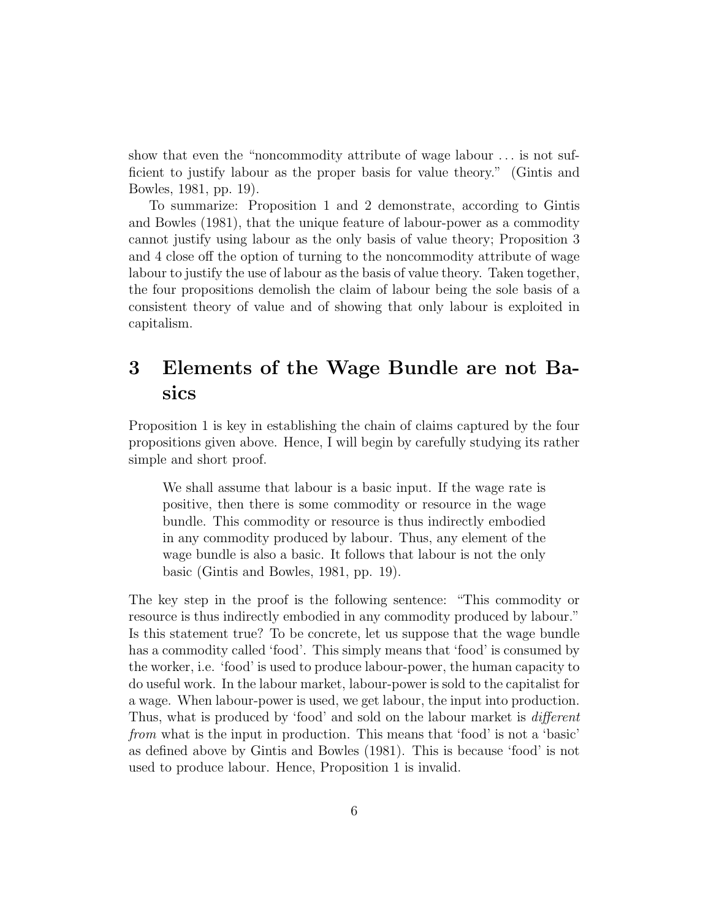show that even the "noncommodity attribute of wage labour . . . is not sufficient to justify labour as the proper basis for value theory." (Gintis and Bowles, 1981, pp. 19).

To summarize: Proposition 1 and 2 demonstrate, according to Gintis and Bowles (1981), that the unique feature of labour-power as a commodity cannot justify using labour as the only basis of value theory; Proposition 3 and 4 close off the option of turning to the noncommodity attribute of wage labour to justify the use of labour as the basis of value theory. Taken together, the four propositions demolish the claim of labour being the sole basis of a consistent theory of value and of showing that only labour is exploited in capitalism.

## 3 Elements of the Wage Bundle are not Basics

Proposition 1 is key in establishing the chain of claims captured by the four propositions given above. Hence, I will begin by carefully studying its rather simple and short proof.

We shall assume that labour is a basic input. If the wage rate is positive, then there is some commodity or resource in the wage bundle. This commodity or resource is thus indirectly embodied in any commodity produced by labour. Thus, any element of the wage bundle is also a basic. It follows that labour is not the only basic (Gintis and Bowles, 1981, pp. 19).

The key step in the proof is the following sentence: "This commodity or resource is thus indirectly embodied in any commodity produced by labour." Is this statement true? To be concrete, let us suppose that the wage bundle has a commodity called 'food'. This simply means that 'food' is consumed by the worker, i.e. 'food' is used to produce labour-power, the human capacity to do useful work. In the labour market, labour-power is sold to the capitalist for a wage. When labour-power is used, we get labour, the input into production. Thus, what is produced by 'food' and sold on the labour market is *different* from what is the input in production. This means that 'food' is not a 'basic' as defined above by Gintis and Bowles (1981). This is because 'food' is not used to produce labour. Hence, Proposition 1 is invalid.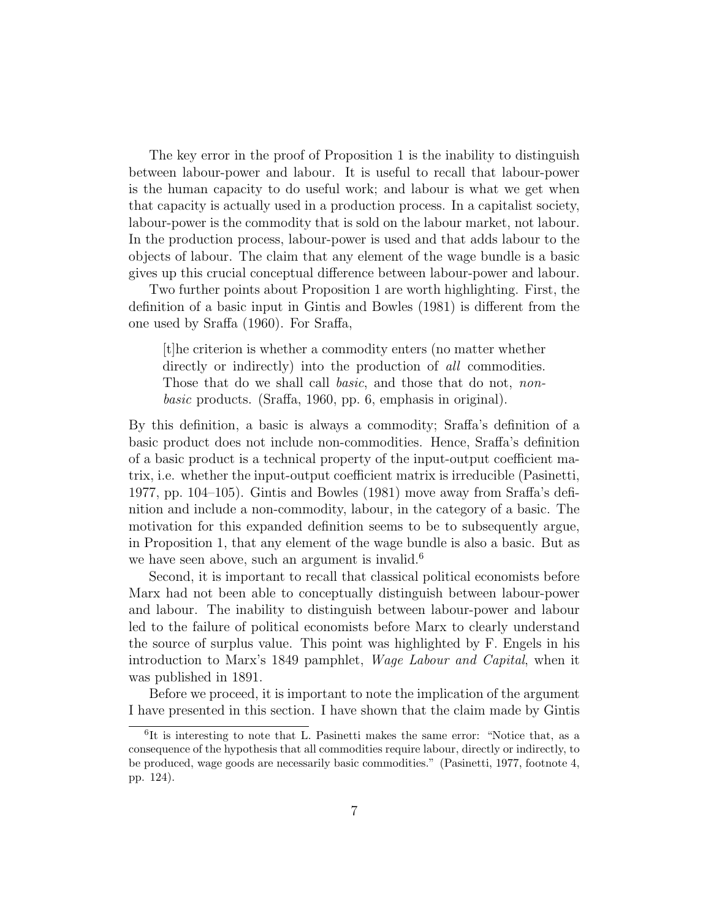The key error in the proof of Proposition 1 is the inability to distinguish between labour-power and labour. It is useful to recall that labour-power is the human capacity to do useful work; and labour is what we get when that capacity is actually used in a production process. In a capitalist society, labour-power is the commodity that is sold on the labour market, not labour. In the production process, labour-power is used and that adds labour to the objects of labour. The claim that any element of the wage bundle is a basic gives up this crucial conceptual difference between labour-power and labour.

Two further points about Proposition 1 are worth highlighting. First, the definition of a basic input in Gintis and Bowles (1981) is different from the one used by Sraffa (1960). For Sraffa,

[t]he criterion is whether a commodity enters (no matter whether directly or indirectly) into the production of *all* commodities. Those that do we shall call *basic*, and those that do not, *non*basic products. (Sraffa, 1960, pp. 6, emphasis in original).

By this definition, a basic is always a commodity; Sraffa's definition of a basic product does not include non-commodities. Hence, Sraffa's definition of a basic product is a technical property of the input-output coefficient matrix, i.e. whether the input-output coefficient matrix is irreducible (Pasinetti, 1977, pp. 104–105). Gintis and Bowles (1981) move away from Sraffa's definition and include a non-commodity, labour, in the category of a basic. The motivation for this expanded definition seems to be to subsequently argue, in Proposition 1, that any element of the wage bundle is also a basic. But as we have seen above, such an argument is invalid.<sup>6</sup>

Second, it is important to recall that classical political economists before Marx had not been able to conceptually distinguish between labour-power and labour. The inability to distinguish between labour-power and labour led to the failure of political economists before Marx to clearly understand the source of surplus value. This point was highlighted by F. Engels in his introduction to Marx's 1849 pamphlet, Wage Labour and Capital, when it was published in 1891.

Before we proceed, it is important to note the implication of the argument I have presented in this section. I have shown that the claim made by Gintis

<sup>&</sup>lt;sup>6</sup>It is interesting to note that L. Pasinetti makes the same error: "Notice that, as a consequence of the hypothesis that all commodities require labour, directly or indirectly, to be produced, wage goods are necessarily basic commodities." (Pasinetti, 1977, footnote 4, pp. 124).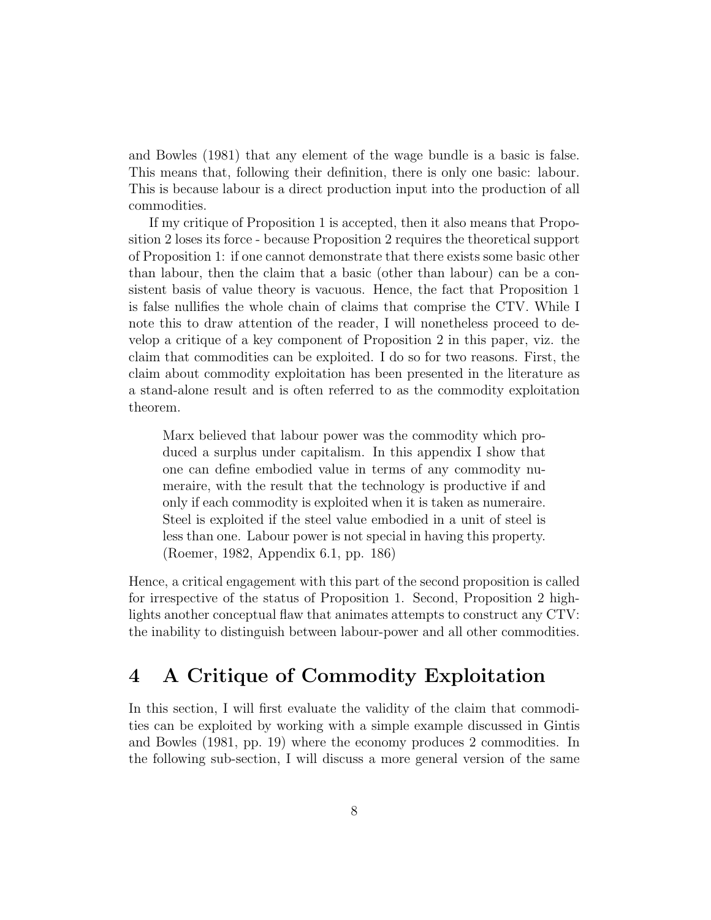and Bowles (1981) that any element of the wage bundle is a basic is false. This means that, following their definition, there is only one basic: labour. This is because labour is a direct production input into the production of all commodities.

If my critique of Proposition 1 is accepted, then it also means that Proposition 2 loses its force - because Proposition 2 requires the theoretical support of Proposition 1: if one cannot demonstrate that there exists some basic other than labour, then the claim that a basic (other than labour) can be a consistent basis of value theory is vacuous. Hence, the fact that Proposition 1 is false nullifies the whole chain of claims that comprise the CTV. While I note this to draw attention of the reader, I will nonetheless proceed to develop a critique of a key component of Proposition 2 in this paper, viz. the claim that commodities can be exploited. I do so for two reasons. First, the claim about commodity exploitation has been presented in the literature as a stand-alone result and is often referred to as the commodity exploitation theorem.

Marx believed that labour power was the commodity which produced a surplus under capitalism. In this appendix I show that one can define embodied value in terms of any commodity numeraire, with the result that the technology is productive if and only if each commodity is exploited when it is taken as numeraire. Steel is exploited if the steel value embodied in a unit of steel is less than one. Labour power is not special in having this property. (Roemer, 1982, Appendix 6.1, pp. 186)

Hence, a critical engagement with this part of the second proposition is called for irrespective of the status of Proposition 1. Second, Proposition 2 highlights another conceptual flaw that animates attempts to construct any CTV: the inability to distinguish between labour-power and all other commodities.

### 4 A Critique of Commodity Exploitation

In this section, I will first evaluate the validity of the claim that commodities can be exploited by working with a simple example discussed in Gintis and Bowles (1981, pp. 19) where the economy produces 2 commodities. In the following sub-section, I will discuss a more general version of the same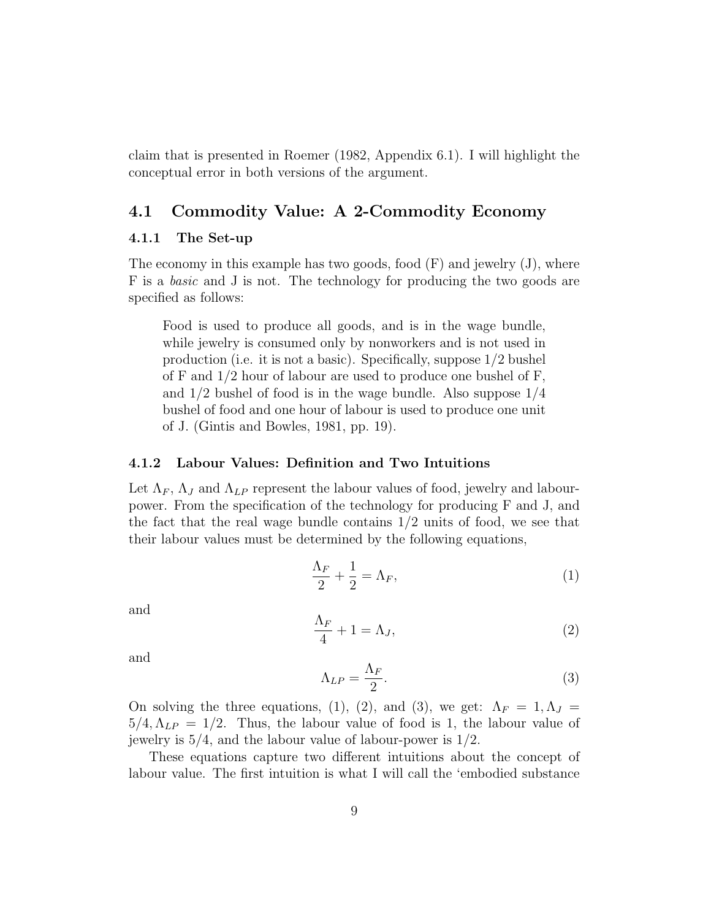claim that is presented in Roemer (1982, Appendix 6.1). I will highlight the conceptual error in both versions of the argument.

#### 4.1 Commodity Value: A 2-Commodity Economy

#### 4.1.1 The Set-up

The economy in this example has two goods, food  $(F)$  and jewelry  $(J)$ , where F is a basic and J is not. The technology for producing the two goods are specified as follows:

Food is used to produce all goods, and is in the wage bundle, while jewelry is consumed only by nonworkers and is not used in production (i.e. it is not a basic). Specifically, suppose 1/2 bushel of F and  $1/2$  hour of labour are used to produce one bushel of F, and 1/2 bushel of food is in the wage bundle. Also suppose 1/4 bushel of food and one hour of labour is used to produce one unit of J. (Gintis and Bowles, 1981, pp. 19).

#### 4.1.2 Labour Values: Definition and Two Intuitions

Let  $\Lambda_F$ ,  $\Lambda_J$  and  $\Lambda_{LP}$  represent the labour values of food, jewelry and labourpower. From the specification of the technology for producing F and J, and the fact that the real wage bundle contains 1/2 units of food, we see that their labour values must be determined by the following equations,

$$
\frac{\Lambda_F}{2} + \frac{1}{2} = \Lambda_F,\tag{1}
$$

and

$$
\frac{\Lambda_F}{4} + 1 = \Lambda_J,\tag{2}
$$

and

$$
\Lambda_{LP} = \frac{\Lambda_F}{2}.\tag{3}
$$

On solving the three equations, (1), (2), and (3), we get:  $\Lambda_F = 1, \Lambda_J =$  $5/4, \Lambda_{LP} = 1/2$ . Thus, the labour value of food is 1, the labour value of jewelry is 5/4, and the labour value of labour-power is 1/2.

These equations capture two different intuitions about the concept of labour value. The first intuition is what I will call the 'embodied substance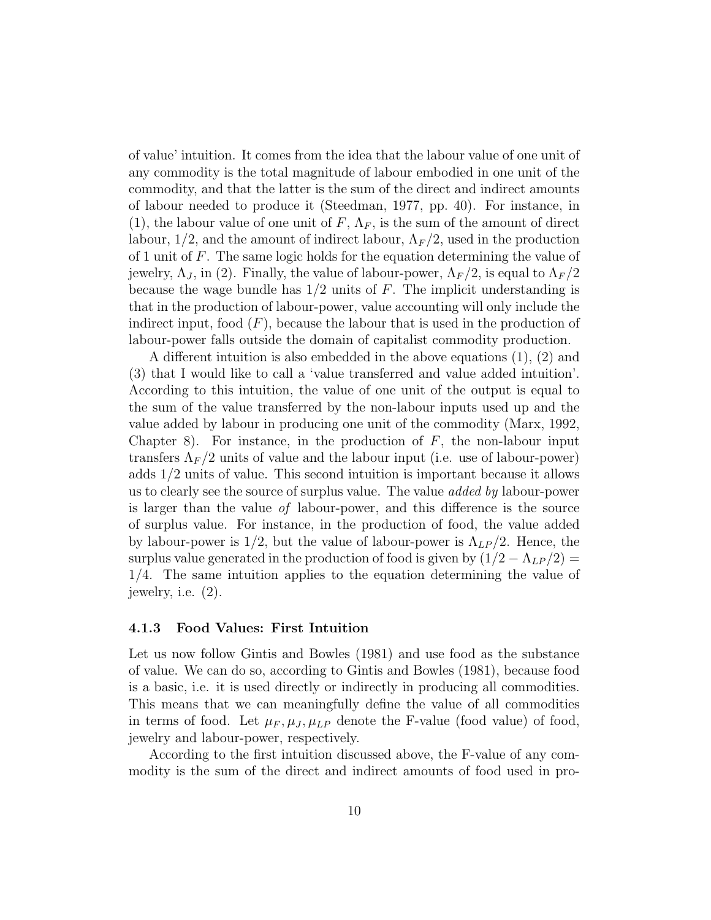of value' intuition. It comes from the idea that the labour value of one unit of any commodity is the total magnitude of labour embodied in one unit of the commodity, and that the latter is the sum of the direct and indirect amounts of labour needed to produce it (Steedman, 1977, pp. 40). For instance, in (1), the labour value of one unit of  $F$ ,  $\Lambda_F$ , is the sum of the amount of direct labour,  $1/2$ , and the amount of indirect labour,  $\Lambda_F/2$ , used in the production of 1 unit of F. The same logic holds for the equation determining the value of jewelry,  $\Lambda_J$ , in (2). Finally, the value of labour-power,  $\Lambda_F/2$ , is equal to  $\Lambda_F/2$ because the wage bundle has  $1/2$  units of F. The implicit understanding is that in the production of labour-power, value accounting will only include the indirect input, food  $(F)$ , because the labour that is used in the production of labour-power falls outside the domain of capitalist commodity production.

A different intuition is also embedded in the above equations (1), (2) and (3) that I would like to call a 'value transferred and value added intuition'. According to this intuition, the value of one unit of the output is equal to the sum of the value transferred by the non-labour inputs used up and the value added by labour in producing one unit of the commodity (Marx, 1992, Chapter 8). For instance, in the production of  $F$ , the non-labour input transfers  $\Lambda_F/2$  units of value and the labour input (i.e. use of labour-power) adds 1/2 units of value. This second intuition is important because it allows us to clearly see the source of surplus value. The value added by labour-power is larger than the value of labour-power, and this difference is the source of surplus value. For instance, in the production of food, the value added by labour-power is  $1/2$ , but the value of labour-power is  $\Lambda_{LP}/2$ . Hence, the surplus value generated in the production of food is given by  $(1/2 - \Lambda_{LP}/2)$  = 1/4. The same intuition applies to the equation determining the value of jewelry, i.e. (2).

#### 4.1.3 Food Values: First Intuition

Let us now follow Gintis and Bowles (1981) and use food as the substance of value. We can do so, according to Gintis and Bowles (1981), because food is a basic, i.e. it is used directly or indirectly in producing all commodities. This means that we can meaningfully define the value of all commodities in terms of food. Let  $\mu_F, \mu_J, \mu_{LP}$  denote the F-value (food value) of food, jewelry and labour-power, respectively.

According to the first intuition discussed above, the F-value of any commodity is the sum of the direct and indirect amounts of food used in pro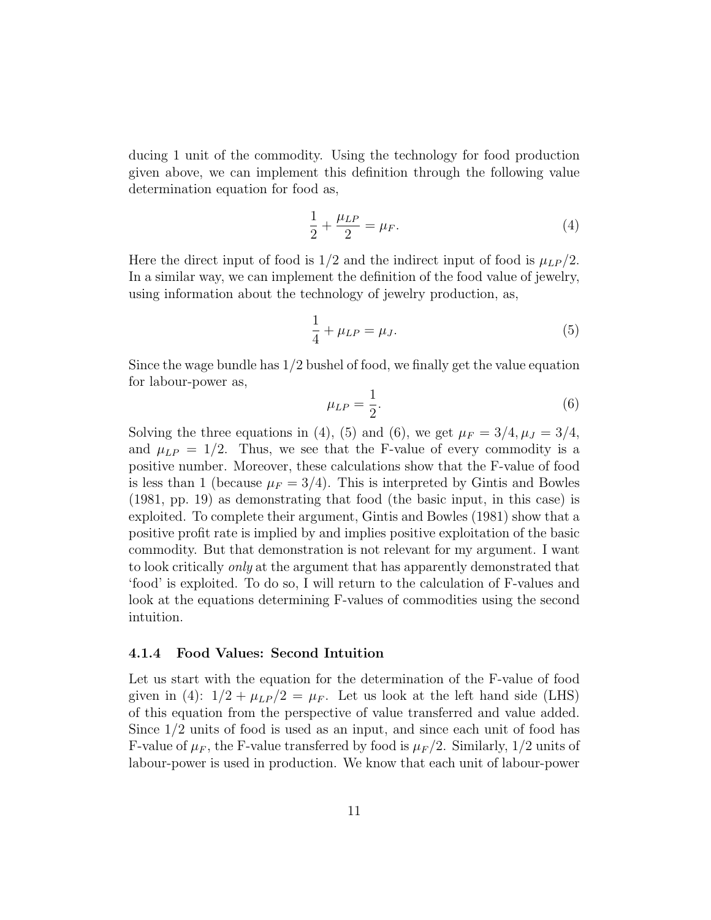ducing 1 unit of the commodity. Using the technology for food production given above, we can implement this definition through the following value determination equation for food as,

$$
\frac{1}{2} + \frac{\mu_{LP}}{2} = \mu_F.
$$
 (4)

Here the direct input of food is  $1/2$  and the indirect input of food is  $\mu_{LP}/2$ . In a similar way, we can implement the definition of the food value of jewelry, using information about the technology of jewelry production, as,

$$
\frac{1}{4} + \mu_{LP} = \mu_J.
$$
 (5)

Since the wage bundle has  $1/2$  bushel of food, we finally get the value equation for labour-power as,

$$
\mu_{LP} = \frac{1}{2}.\tag{6}
$$

Solving the three equations in (4), (5) and (6), we get  $\mu_F = 3/4, \mu_J = 3/4$ , and  $\mu_{LP} = 1/2$ . Thus, we see that the F-value of every commodity is a positive number. Moreover, these calculations show that the F-value of food is less than 1 (because  $\mu_F = 3/4$ ). This is interpreted by Gintis and Bowles (1981, pp. 19) as demonstrating that food (the basic input, in this case) is exploited. To complete their argument, Gintis and Bowles (1981) show that a positive profit rate is implied by and implies positive exploitation of the basic commodity. But that demonstration is not relevant for my argument. I want to look critically only at the argument that has apparently demonstrated that 'food' is exploited. To do so, I will return to the calculation of F-values and look at the equations determining F-values of commodities using the second intuition.

#### 4.1.4 Food Values: Second Intuition

Let us start with the equation for the determination of the F-value of food given in (4):  $1/2 + \mu_{LP}/2 = \mu_F$ . Let us look at the left hand side (LHS) of this equation from the perspective of value transferred and value added. Since 1/2 units of food is used as an input, and since each unit of food has F-value of  $\mu_F$ , the F-value transferred by food is  $\mu_F/2$ . Similarly, 1/2 units of labour-power is used in production. We know that each unit of labour-power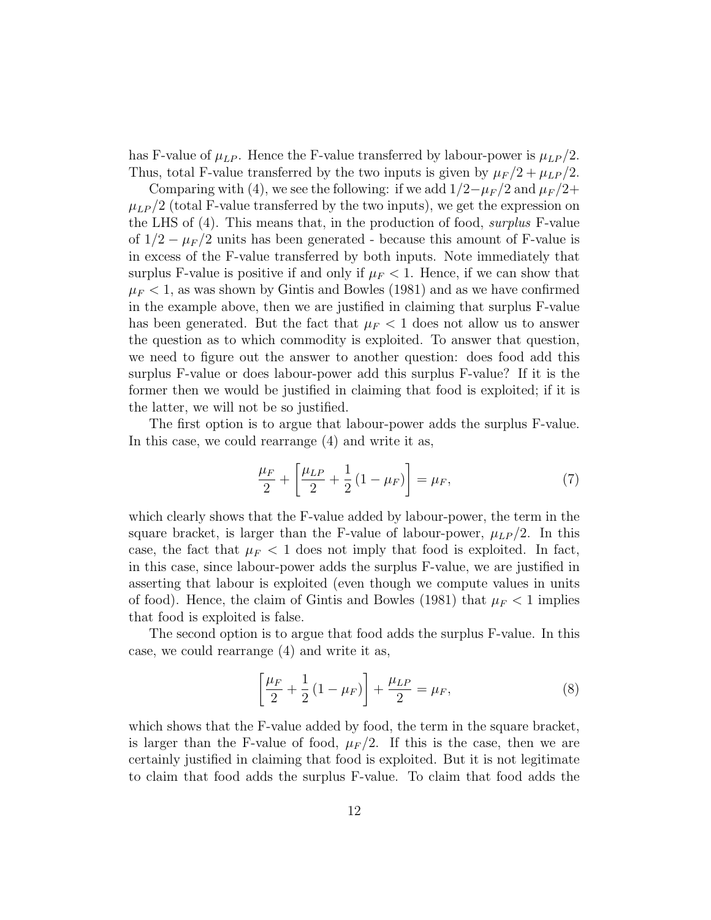has F-value of  $\mu_{LP}$ . Hence the F-value transferred by labour-power is  $\mu_{LP}/2$ . Thus, total F-value transferred by the two inputs is given by  $\mu_F/2 + \mu_{LP}/2$ .

Comparing with (4), we see the following: if we add  $1/2-\mu_F/2$  and  $\mu_F/2+$  $\mu_{LP}/2$  (total F-value transferred by the two inputs), we get the expression on the LHS of (4). This means that, in the production of food, surplus F-value of  $1/2 - \mu_F/2$  units has been generated - because this amount of F-value is in excess of the F-value transferred by both inputs. Note immediately that surplus F-value is positive if and only if  $\mu_F < 1$ . Hence, if we can show that  $\mu_F$  < 1, as was shown by Gintis and Bowles (1981) and as we have confirmed in the example above, then we are justified in claiming that surplus F-value has been generated. But the fact that  $\mu_F < 1$  does not allow us to answer the question as to which commodity is exploited. To answer that question, we need to figure out the answer to another question: does food add this surplus F-value or does labour-power add this surplus F-value? If it is the former then we would be justified in claiming that food is exploited; if it is the latter, we will not be so justified.

The first option is to argue that labour-power adds the surplus F-value. In this case, we could rearrange (4) and write it as,

$$
\frac{\mu_F}{2} + \left[ \frac{\mu_{LP}}{2} + \frac{1}{2} (1 - \mu_F) \right] = \mu_F,
$$
\n(7)

which clearly shows that the F-value added by labour-power, the term in the square bracket, is larger than the F-value of labour-power,  $\mu_{LP}/2$ . In this case, the fact that  $\mu_F < 1$  does not imply that food is exploited. In fact, in this case, since labour-power adds the surplus F-value, we are justified in asserting that labour is exploited (even though we compute values in units of food). Hence, the claim of Gintis and Bowles (1981) that  $\mu_F < 1$  implies that food is exploited is false.

The second option is to argue that food adds the surplus F-value. In this case, we could rearrange (4) and write it as,

$$
\left[\frac{\mu_F}{2} + \frac{1}{2}(1 - \mu_F)\right] + \frac{\mu_{LP}}{2} = \mu_F,
$$
\n(8)

which shows that the F-value added by food, the term in the square bracket, is larger than the F-value of food,  $\mu_F/2$ . If this is the case, then we are certainly justified in claiming that food is exploited. But it is not legitimate to claim that food adds the surplus F-value. To claim that food adds the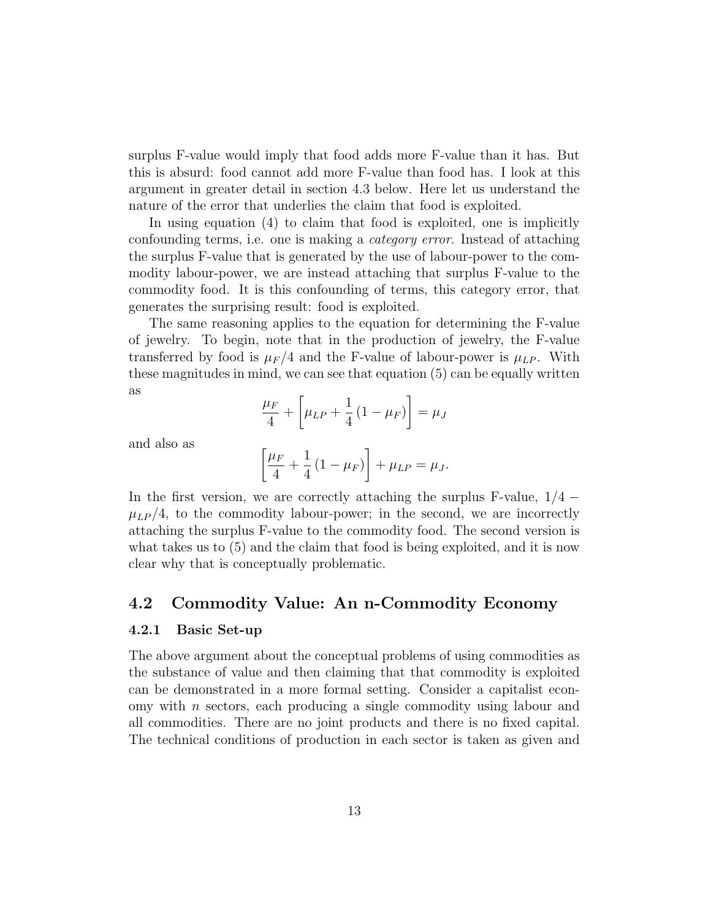surplus F-value would imply that food adds more F-value than it has. But this is absurd: food cannot add more F-value than food has. I look at this argument in greater detail in section 4.3 below. Here let us understand the nature of the error that underlies the claim that food is exploited.

In using equation (4) to claim that food is exploited, one is implicitly confounding terms, i.e. one is making a category error. Instead of attaching the surplus F-value that is generated by the use of labour-power to the commodity labour-power, we are instead attaching that surplus F-value to the commodity food. It is this confounding of terms, this category error, that generates the surprising result: food is exploited.

The same reasoning applies to the equation for determining the F-value of jewelry. To begin, note that in the production of jewelry, the F-value transferred by food is  $\mu_F/4$  and the F-value of labour-power is  $\mu_{LP}$ . With these magnitudes in mind, we can see that equation (5) can be equally written as

$$
\frac{\mu_F}{4} + \left[\mu_{LP} + \frac{1}{4} \left(1 - \mu_F\right)\right] = \mu_J
$$

and also as

$$
\[\frac{\mu_F}{4} + \frac{1}{4} (1 - \mu_F)\] + \mu_{LP} = \mu_J.
$$

In the first version, we are correctly attaching the surplus F-value,  $1/4$  –  $\mu_{LP}/4$ , to the commodity labour-power; in the second, we are incorrectly attaching the surplus F-value to the commodity food. The second version is what takes us to (5) and the claim that food is being exploited, and it is now clear why that is conceptually problematic.

#### 4.2 Commodity Value: An n-Commodity Economy

#### 4.2.1 Basic Set-up

The above argument about the conceptual problems of using commodities as the substance of value and then claiming that that commodity is exploited can be demonstrated in a more formal setting. Consider a capitalist economy with n sectors, each producing a single commodity using labour and all commodities. There are no joint products and there is no fixed capital. The technical conditions of production in each sector is taken as given and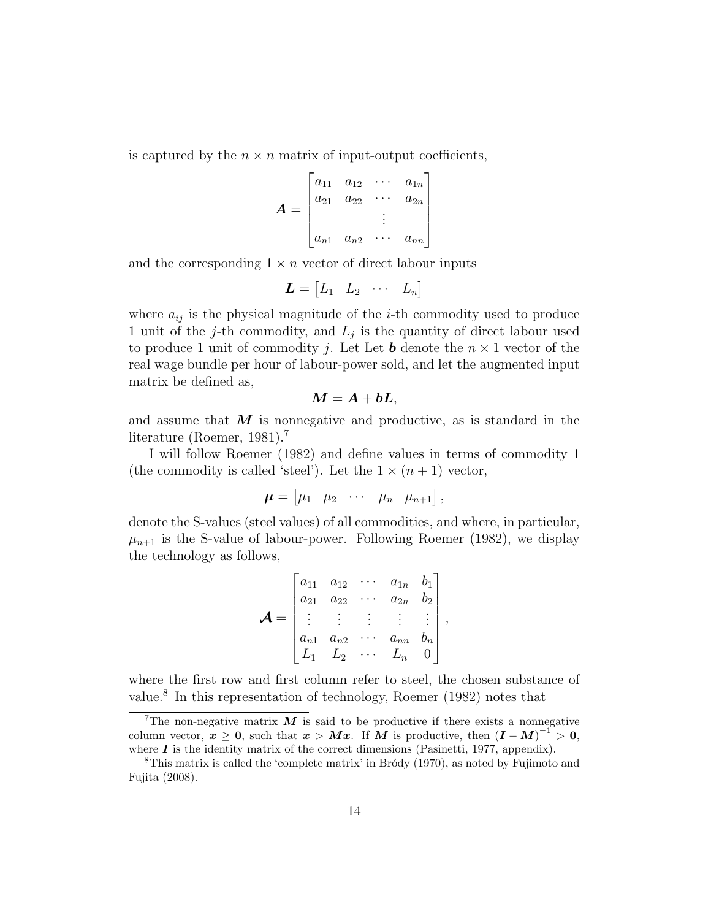is captured by the  $n \times n$  matrix of input-output coefficients,

$$
\boldsymbol{A} = \begin{bmatrix} a_{11} & a_{12} & \cdots & a_{1n} \\ a_{21} & a_{22} & \cdots & a_{2n} \\ \vdots & \vdots & \ddots & \vdots \\ a_{n1} & a_{n2} & \cdots & a_{nn} \end{bmatrix}
$$

and the corresponding  $1 \times n$  vector of direct labour inputs

$$
\boldsymbol{L} = \begin{bmatrix} L_1 & L_2 & \cdots & L_n \end{bmatrix}
$$

where  $a_{ij}$  is the physical magnitude of the *i*-th commodity used to produce 1 unit of the j-th commodity, and  $L_j$  is the quantity of direct labour used to produce 1 unit of commodity *j*. Let Let **b** denote the  $n \times 1$  vector of the real wage bundle per hour of labour-power sold, and let the augmented input matrix be defined as,

$$
\boldsymbol{M} = \boldsymbol{A} + \boldsymbol{b}\boldsymbol{L},
$$

and assume that  $M$  is nonnegative and productive, as is standard in the literature (Roemer, 1981).<sup>7</sup>

I will follow Roemer (1982) and define values in terms of commodity 1 (the commodity is called 'steel'). Let the  $1 \times (n+1)$  vector,

$$
\boldsymbol{\mu} = \begin{bmatrix} \mu_1 & \mu_2 & \cdots & \mu_n & \mu_{n+1} \end{bmatrix},
$$

denote the S-values (steel values) of all commodities, and where, in particular,  $\mu_{n+1}$  is the S-value of labour-power. Following Roemer (1982), we display the technology as follows,

$$
\mathbf{A} = \begin{bmatrix} a_{11} & a_{12} & \cdots & a_{1n} & b_1 \\ a_{21} & a_{22} & \cdots & a_{2n} & b_2 \\ \vdots & \vdots & \vdots & \vdots & \vdots \\ a_{n1} & a_{n2} & \cdots & a_{nn} & b_n \\ L_1 & L_2 & \cdots & L_n & 0 \end{bmatrix},
$$

where the first row and first column refer to steel, the chosen substance of value.<sup>8</sup> In this representation of technology, Roemer (1982) notes that

<sup>&</sup>lt;sup>7</sup>The non-negative matrix  $M$  is said to be productive if there exists a nonnegative column vector,  $x \geq 0$ , such that  $x > Mx$ . If M is productive, then  $(I - M)^{-1} > 0$ , where  $I$  is the identity matrix of the correct dimensions (Pasinetti, 1977, appendix).

<sup>&</sup>lt;sup>8</sup>This matrix is called the 'complete matrix' in Broody  $(1970)$ , as noted by Fujimoto and Fujita (2008).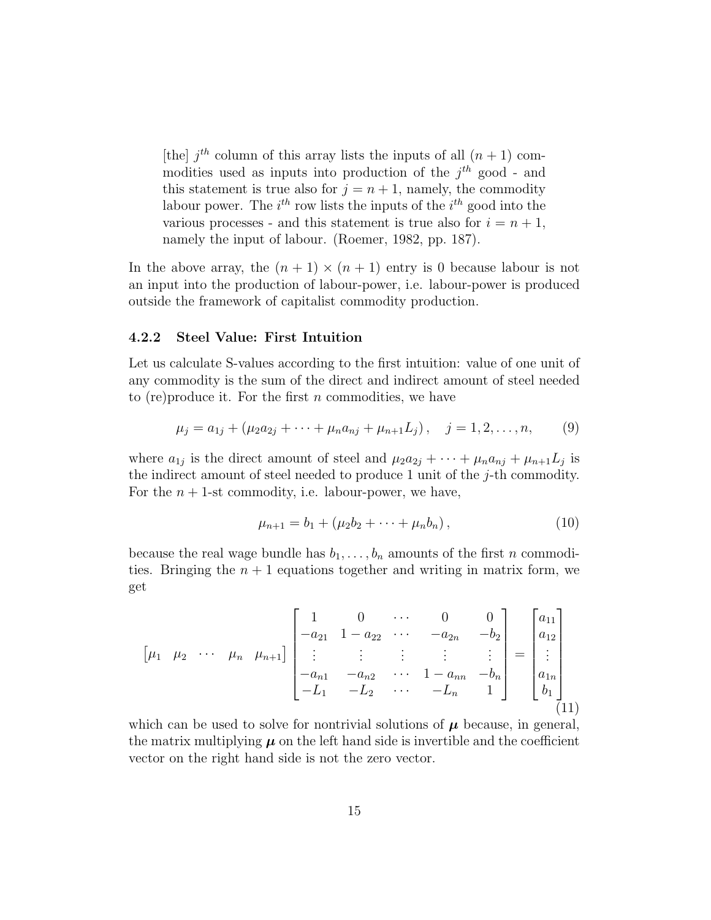[the]  $j<sup>th</sup>$  column of this array lists the inputs of all  $(n + 1)$  commodities used as inputs into production of the  $j<sup>th</sup>$  good - and this statement is true also for  $j = n + 1$ , namely, the commodity labour power. The  $i^{th}$  row lists the inputs of the  $i^{th}$  good into the various processes - and this statement is true also for  $i = n + 1$ , namely the input of labour. (Roemer, 1982, pp. 187).

In the above array, the  $(n + 1) \times (n + 1)$  entry is 0 because labour is not an input into the production of labour-power, i.e. labour-power is produced outside the framework of capitalist commodity production.

#### 4.2.2 Steel Value: First Intuition

Let us calculate S-values according to the first intuition: value of one unit of any commodity is the sum of the direct and indirect amount of steel needed to (re) produce it. For the first n commodities, we have

$$
\mu_j = a_{1j} + (\mu_2 a_{2j} + \dots + \mu_n a_{nj} + \mu_{n+1} L_j), \quad j = 1, 2, \dots, n,
$$
 (9)

where  $a_{1j}$  is the direct amount of steel and  $\mu_2 a_{2j} + \cdots + \mu_n a_{nj} + \mu_{n+1} L_j$  is the indirect amount of steel needed to produce 1 unit of the  $j$ -th commodity. For the  $n + 1$ -st commodity, i.e. labour-power, we have,

$$
\mu_{n+1} = b_1 + (\mu_2 b_2 + \dots + \mu_n b_n), \qquad (10)
$$

because the real wage bundle has  $b_1, \ldots, b_n$  amounts of the first n commodities. Bringing the  $n + 1$  equations together and writing in matrix form, we get

$$
\begin{bmatrix} \mu_1 & \mu_2 & \cdots & \mu_n & \mu_{n+1} \end{bmatrix} \begin{bmatrix} 1 & 0 & \cdots & 0 & 0 \\ -a_{21} & 1 - a_{22} & \cdots & -a_{2n} & -b_2 \\ \vdots & \vdots & \vdots & \vdots & \vdots \\ -a_{n1} & -a_{n2} & \cdots & 1 - a_{nn} & -b_n \\ -L_1 & -L_2 & \cdots & -L_n & 1 \end{bmatrix} = \begin{bmatrix} a_{11} \\ a_{12} \\ \vdots \\ a_{1n} \\ b_1 \\ \vdots \end{bmatrix}
$$

which can be used to solve for nontrivial solutions of  $\mu$  because, in general, the matrix multiplying  $\mu$  on the left hand side is invertible and the coefficient vector on the right hand side is not the zero vector.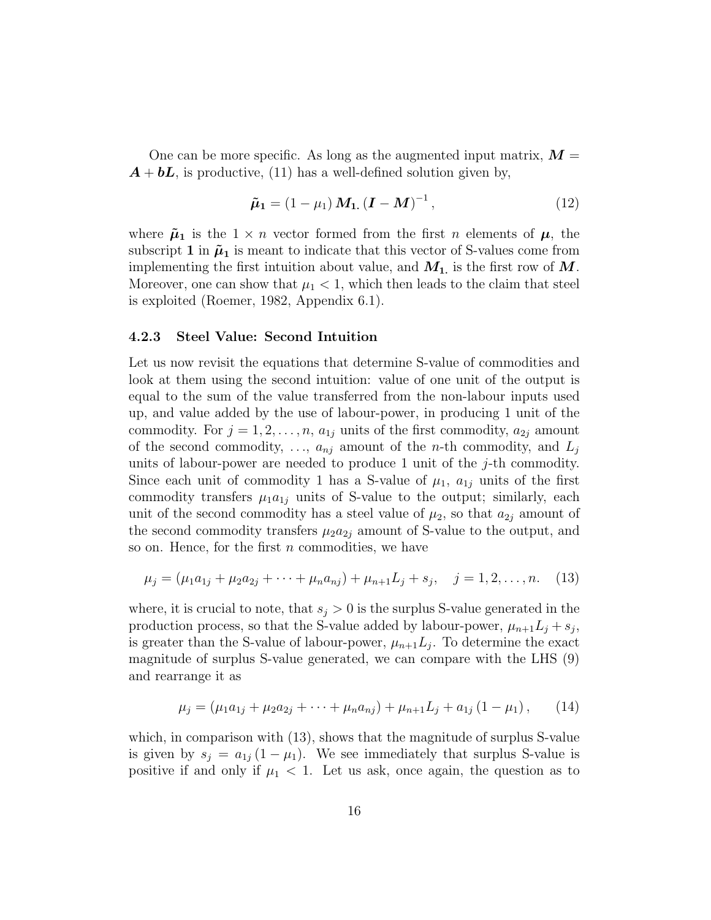One can be more specific. As long as the augmented input matrix,  $\mathbf{M} =$  $\mathbf{A} + \mathbf{b}\mathbf{L}$ , is productive, (11) has a well-defined solution given by,

$$
\tilde{\mu}_1 = (1 - \mu_1) M_{1.} (\mathbf{I} - \mathbf{M})^{-1}, \tag{12}
$$

where  $\tilde{\mu}_1$  is the  $1 \times n$  vector formed from the first n elements of  $\mu$ , the subscript 1 in  $\tilde{\mu}_1$  is meant to indicate that this vector of S-values come from implementing the first intuition about value, and  $M_1$ , is the first row of  $M$ . Moreover, one can show that  $\mu_1 < 1$ , which then leads to the claim that steel is exploited (Roemer, 1982, Appendix 6.1).

#### 4.2.3 Steel Value: Second Intuition

Let us now revisit the equations that determine S-value of commodities and look at them using the second intuition: value of one unit of the output is equal to the sum of the value transferred from the non-labour inputs used up, and value added by the use of labour-power, in producing 1 unit of the commodity. For  $j = 1, 2, ..., n$ ,  $a_{1j}$  units of the first commodity,  $a_{2j}$  amount of the second commodity, ...,  $a_{nj}$  amount of the *n*-th commodity, and  $L_j$ units of labour-power are needed to produce 1 unit of the  $j$ -th commodity. Since each unit of commodity 1 has a S-value of  $\mu_1$ ,  $a_{1j}$  units of the first commodity transfers  $\mu_1 a_{1j}$  units of S-value to the output; similarly, each unit of the second commodity has a steel value of  $\mu_2$ , so that  $a_{2j}$  amount of the second commodity transfers  $\mu_2 a_{2i}$  amount of S-value to the output, and so on. Hence, for the first  $n$  commodities, we have

$$
\mu_j = (\mu_1 a_{1j} + \mu_2 a_{2j} + \dots + \mu_n a_{nj}) + \mu_{n+1} L_j + s_j, \quad j = 1, 2, \dots, n. \tag{13}
$$

where, it is crucial to note, that  $s_j > 0$  is the surplus S-value generated in the production process, so that the S-value added by labour-power,  $\mu_{n+1}L_j + s_j$ , is greater than the S-value of labour-power,  $\mu_{n+1}L_j$ . To determine the exact magnitude of surplus S-value generated, we can compare with the LHS (9) and rearrange it as

$$
\mu_j = (\mu_1 a_{1j} + \mu_2 a_{2j} + \dots + \mu_n a_{nj}) + \mu_{n+1} L_j + a_{1j} (1 - \mu_1), \qquad (14)
$$

which, in comparison with  $(13)$ , shows that the magnitude of surplus S-value is given by  $s_j = a_{1j} (1 - \mu_1)$ . We see immediately that surplus S-value is positive if and only if  $\mu_1$  < 1. Let us ask, once again, the question as to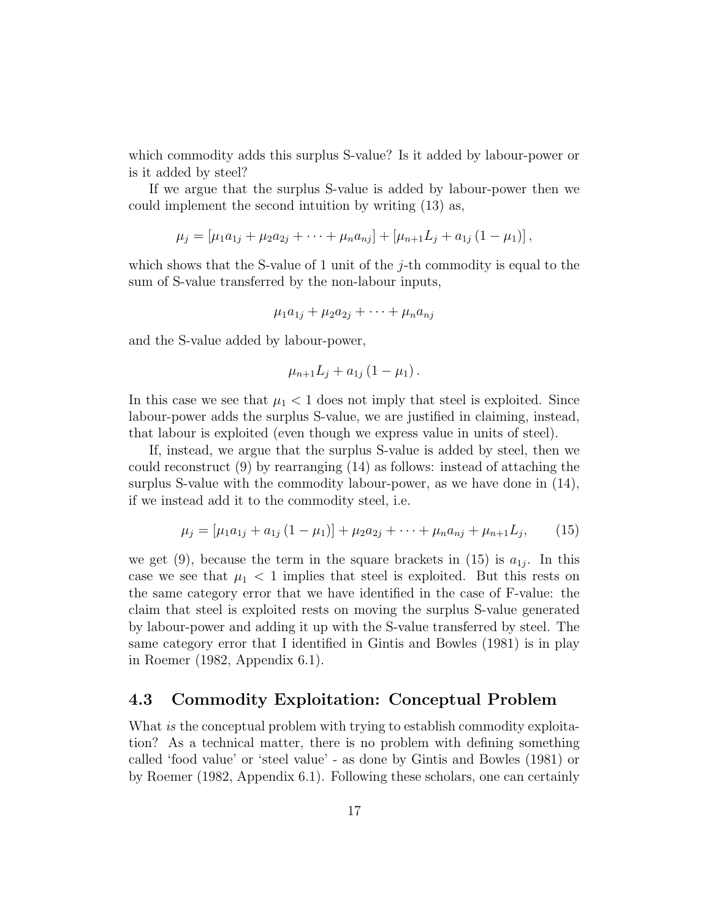which commodity adds this surplus S-value? Is it added by labour-power or is it added by steel?

If we argue that the surplus S-value is added by labour-power then we could implement the second intuition by writing (13) as,

$$
\mu_j = [\mu_1 a_{1j} + \mu_2 a_{2j} + \cdots + \mu_n a_{nj}] + [\mu_{n+1} L_j + a_{1j} (1 - \mu_1)],
$$

which shows that the S-value of 1 unit of the  $j$ -th commodity is equal to the sum of S-value transferred by the non-labour inputs,

$$
\mu_1 a_{1j} + \mu_2 a_{2j} + \cdots + \mu_n a_{nj}
$$

and the S-value added by labour-power,

$$
\mu_{n+1}L_j + a_{1j}(1 - \mu_1).
$$

In this case we see that  $\mu_1 < 1$  does not imply that steel is exploited. Since labour-power adds the surplus S-value, we are justified in claiming, instead, that labour is exploited (even though we express value in units of steel).

If, instead, we argue that the surplus S-value is added by steel, then we could reconstruct (9) by rearranging (14) as follows: instead of attaching the surplus S-value with the commodity labour-power, as we have done in (14), if we instead add it to the commodity steel, i.e.

$$
\mu_j = [\mu_1 a_{1j} + a_{1j} (1 - \mu_1)] + \mu_2 a_{2j} + \dots + \mu_n a_{nj} + \mu_{n+1} L_j, \qquad (15)
$$

we get (9), because the term in the square brackets in (15) is  $a_{1j}$ . In this case we see that  $\mu_1 < 1$  implies that steel is exploited. But this rests on the same category error that we have identified in the case of F-value: the claim that steel is exploited rests on moving the surplus S-value generated by labour-power and adding it up with the S-value transferred by steel. The same category error that I identified in Gintis and Bowles (1981) is in play in Roemer (1982, Appendix 6.1).

#### 4.3 Commodity Exploitation: Conceptual Problem

What is the conceptual problem with trying to establish commodity exploitation? As a technical matter, there is no problem with defining something called 'food value' or 'steel value' - as done by Gintis and Bowles (1981) or by Roemer (1982, Appendix 6.1). Following these scholars, one can certainly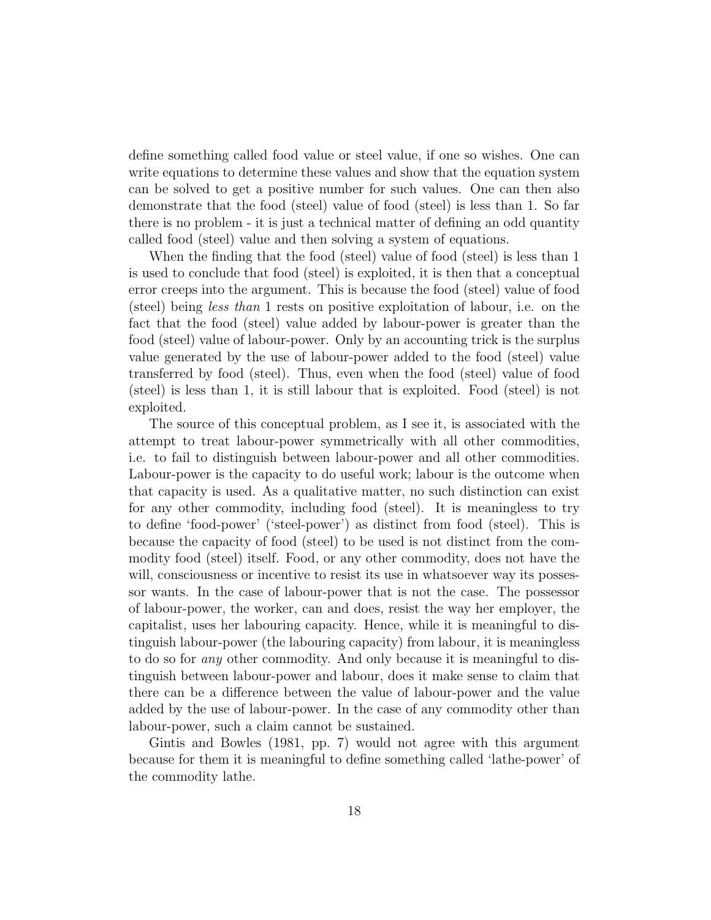define something called food value or steel value, if one so wishes. One can write equations to determine these values and show that the equation system can be solved to get a positive number for such values. One can then also demonstrate that the food (steel) value of food (steel) is less than 1. So far there is no problem - it is just a technical matter of defining an odd quantity called food (steel) value and then solving a system of equations.

When the finding that the food (steel) value of food (steel) is less than 1 is used to conclude that food (steel) is exploited, it is then that a conceptual error creeps into the argument. This is because the food (steel) value of food (steel) being less than 1 rests on positive exploitation of labour, i.e. on the fact that the food (steel) value added by labour-power is greater than the food (steel) value of labour-power. Only by an accounting trick is the surplus value generated by the use of labour-power added to the food (steel) value transferred by food (steel). Thus, even when the food (steel) value of food (steel) is less than 1, it is still labour that is exploited. Food (steel) is not exploited.

The source of this conceptual problem, as I see it, is associated with the attempt to treat labour-power symmetrically with all other commodities, i.e. to fail to distinguish between labour-power and all other commodities. Labour-power is the capacity to do useful work; labour is the outcome when that capacity is used. As a qualitative matter, no such distinction can exist for any other commodity, including food (steel). It is meaningless to try to define 'food-power' ('steel-power') as distinct from food (steel). This is because the capacity of food (steel) to be used is not distinct from the commodity food (steel) itself. Food, or any other commodity, does not have the will, consciousness or incentive to resist its use in whatsoever way its possessor wants. In the case of labour-power that is not the case. The possessor of labour-power, the worker, can and does, resist the way her employer, the capitalist, uses her labouring capacity. Hence, while it is meaningful to distinguish labour-power (the labouring capacity) from labour, it is meaningless to do so for any other commodity. And only because it is meaningful to distinguish between labour-power and labour, does it make sense to claim that there can be a difference between the value of labour-power and the value added by the use of labour-power. In the case of any commodity other than labour-power, such a claim cannot be sustained.

Gintis and Bowles (1981, pp. 7) would not agree with this argument because for them it is meaningful to define something called 'lathe-power' of the commodity lathe.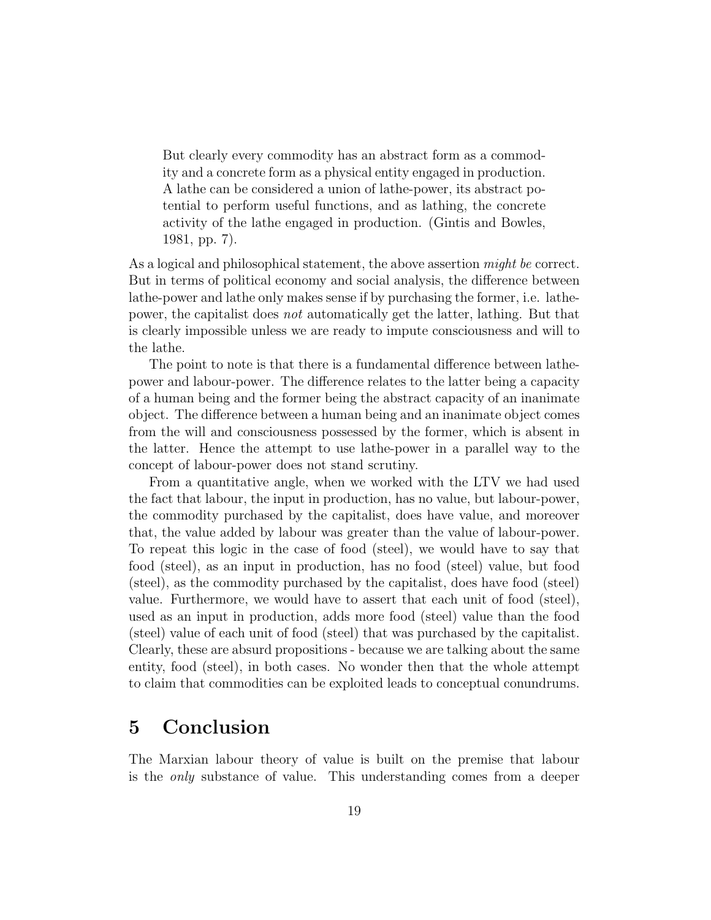But clearly every commodity has an abstract form as a commodity and a concrete form as a physical entity engaged in production. A lathe can be considered a union of lathe-power, its abstract potential to perform useful functions, and as lathing, the concrete activity of the lathe engaged in production. (Gintis and Bowles, 1981, pp. 7).

As a logical and philosophical statement, the above assertion *might be* correct. But in terms of political economy and social analysis, the difference between lathe-power and lathe only makes sense if by purchasing the former, i.e. lathepower, the capitalist does not automatically get the latter, lathing. But that is clearly impossible unless we are ready to impute consciousness and will to the lathe.

The point to note is that there is a fundamental difference between lathepower and labour-power. The difference relates to the latter being a capacity of a human being and the former being the abstract capacity of an inanimate object. The difference between a human being and an inanimate object comes from the will and consciousness possessed by the former, which is absent in the latter. Hence the attempt to use lathe-power in a parallel way to the concept of labour-power does not stand scrutiny.

From a quantitative angle, when we worked with the LTV we had used the fact that labour, the input in production, has no value, but labour-power, the commodity purchased by the capitalist, does have value, and moreover that, the value added by labour was greater than the value of labour-power. To repeat this logic in the case of food (steel), we would have to say that food (steel), as an input in production, has no food (steel) value, but food (steel), as the commodity purchased by the capitalist, does have food (steel) value. Furthermore, we would have to assert that each unit of food (steel), used as an input in production, adds more food (steel) value than the food (steel) value of each unit of food (steel) that was purchased by the capitalist. Clearly, these are absurd propositions - because we are talking about the same entity, food (steel), in both cases. No wonder then that the whole attempt to claim that commodities can be exploited leads to conceptual conundrums.

### 5 Conclusion

The Marxian labour theory of value is built on the premise that labour is the only substance of value. This understanding comes from a deeper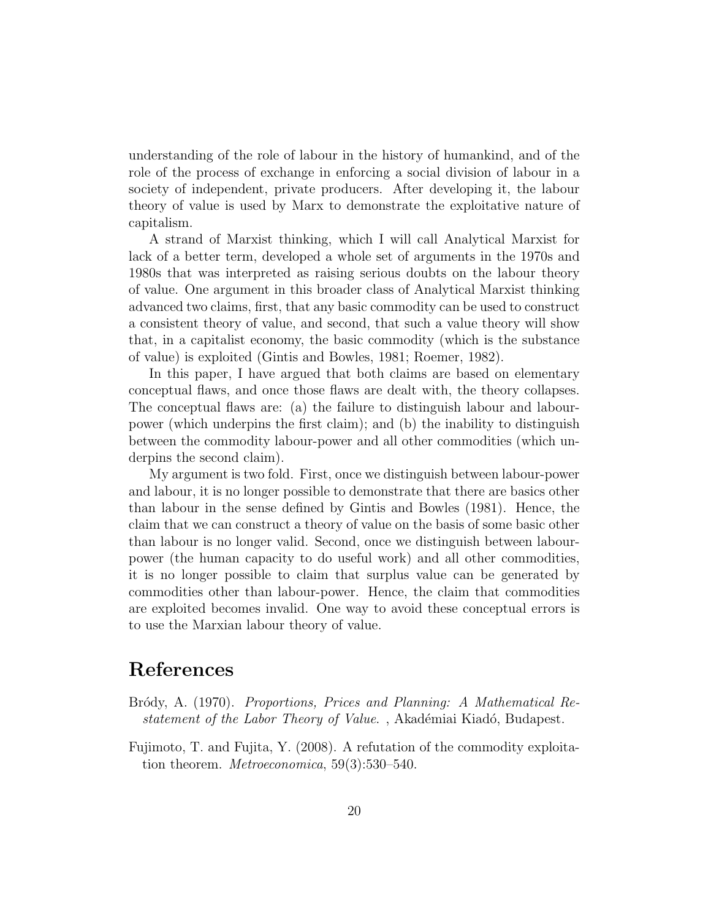understanding of the role of labour in the history of humankind, and of the role of the process of exchange in enforcing a social division of labour in a society of independent, private producers. After developing it, the labour theory of value is used by Marx to demonstrate the exploitative nature of capitalism.

A strand of Marxist thinking, which I will call Analytical Marxist for lack of a better term, developed a whole set of arguments in the 1970s and 1980s that was interpreted as raising serious doubts on the labour theory of value. One argument in this broader class of Analytical Marxist thinking advanced two claims, first, that any basic commodity can be used to construct a consistent theory of value, and second, that such a value theory will show that, in a capitalist economy, the basic commodity (which is the substance of value) is exploited (Gintis and Bowles, 1981; Roemer, 1982).

In this paper, I have argued that both claims are based on elementary conceptual flaws, and once those flaws are dealt with, the theory collapses. The conceptual flaws are: (a) the failure to distinguish labour and labourpower (which underpins the first claim); and (b) the inability to distinguish between the commodity labour-power and all other commodities (which underpins the second claim).

My argument is two fold. First, once we distinguish between labour-power and labour, it is no longer possible to demonstrate that there are basics other than labour in the sense defined by Gintis and Bowles (1981). Hence, the claim that we can construct a theory of value on the basis of some basic other than labour is no longer valid. Second, once we distinguish between labourpower (the human capacity to do useful work) and all other commodities, it is no longer possible to claim that surplus value can be generated by commodities other than labour-power. Hence, the claim that commodities are exploited becomes invalid. One way to avoid these conceptual errors is to use the Marxian labour theory of value.

## References

- Bródy, A. (1970). Proportions, Prices and Planning: A Mathematical Restatement of the Labor Theory of Value., Akadémiai Kiadó, Budapest.
- Fujimoto, T. and Fujita, Y. (2008). A refutation of the commodity exploitation theorem. Metroeconomica, 59(3):530–540.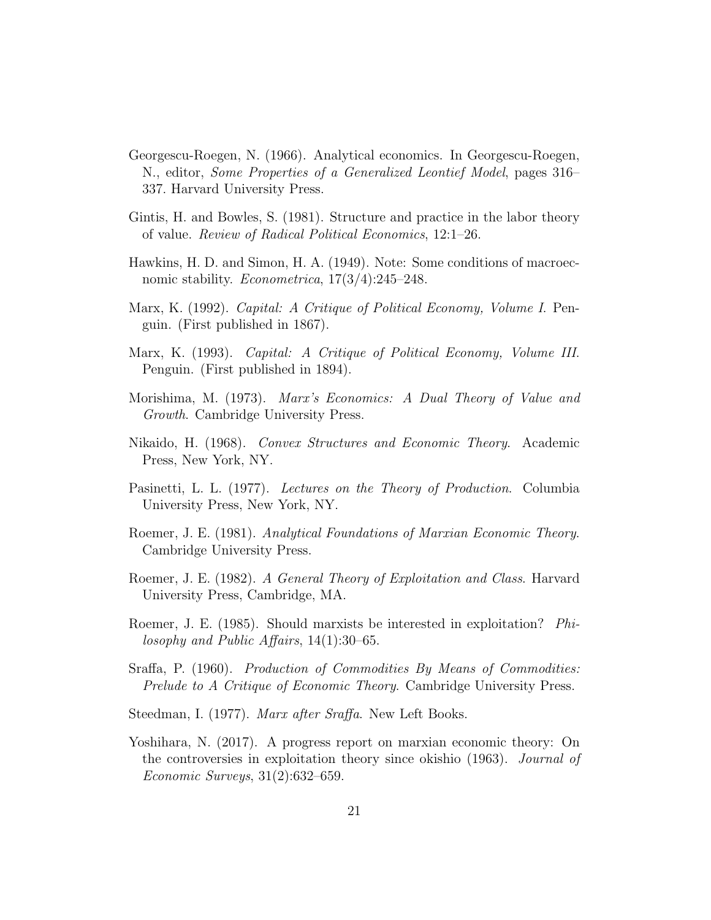- Georgescu-Roegen, N. (1966). Analytical economics. In Georgescu-Roegen, N., editor, Some Properties of a Generalized Leontief Model, pages 316– 337. Harvard University Press.
- Gintis, H. and Bowles, S. (1981). Structure and practice in the labor theory of value. Review of Radical Political Economics, 12:1–26.
- Hawkins, H. D. and Simon, H. A. (1949). Note: Some conditions of macroecnomic stability. *Econometrica*,  $17(3/4)$ :245–248.
- Marx, K. (1992). Capital: A Critique of Political Economy, Volume I. Penguin. (First published in 1867).
- Marx, K. (1993). Capital: A Critique of Political Economy, Volume III. Penguin. (First published in 1894).
- Morishima, M. (1973). Marx's Economics: A Dual Theory of Value and Growth. Cambridge University Press.
- Nikaido, H. (1968). Convex Structures and Economic Theory. Academic Press, New York, NY.
- Pasinetti, L. L. (1977). Lectures on the Theory of Production. Columbia University Press, New York, NY.
- Roemer, J. E. (1981). Analytical Foundations of Marxian Economic Theory. Cambridge University Press.
- Roemer, J. E. (1982). A General Theory of Exploitation and Class. Harvard University Press, Cambridge, MA.
- Roemer, J. E. (1985). Should marxists be interested in exploitation? Philosophy and Public Affairs, 14(1):30–65.
- Sraffa, P. (1960). *Production of Commodities By Means of Commodities:* Prelude to A Critique of Economic Theory. Cambridge University Press.
- Steedman, I. (1977). Marx after Sraffa. New Left Books.
- Yoshihara, N. (2017). A progress report on marxian economic theory: On the controversies in exploitation theory since okishio (1963). Journal of Economic Surveys, 31(2):632–659.